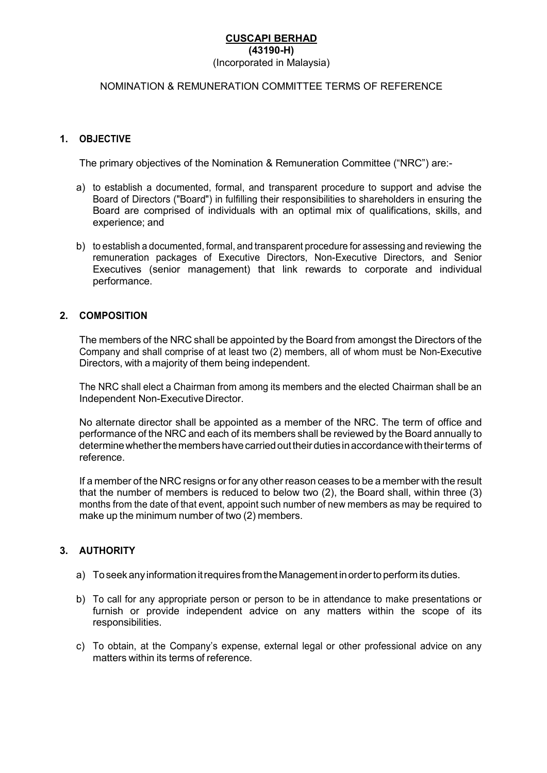#### CUSCAPI BERHAD (43190-H) (Incorporated in Malaysia)

# NOMINATION & REMUNERATION COMMITTEE TERMS OF REFERENCE

## 1. OBJECTIVE

The primary objectives of the Nomination & Remuneration Committee ("NRC") are:-

- a) to establish a documented, formal, and transparent procedure to support and advise the Board of Directors ("Board") in fulfilling their responsibilities to shareholders in ensuring the Board are comprised of individuals with an optimal mix of qualifications, skills, and experience; and
- b) to establish a documented, formal, and transparent procedure for assessing and reviewing the remuneration packages of Executive Directors, Non-Executive Directors, and Senior Executives (senior management) that link rewards to corporate and individual performance.

#### 2. COMPOSITION

The members of the NRC shall be appointed by the Board from amongst the Directors of the Company and shall comprise of at least two (2) members, all of whom must be Non-Executive Directors, with a majority of them being independent.

The NRC shall elect a Chairman from among its members and the elected Chairman shall be an Independent Non-Executive Director.

No alternate director shall be appointed as a member of the NRC. The term of office and performance of the NRC and each of its members shall be reviewed by the Board annually to determine whether the members have carried out their duties in accordance with their terms of reference.

If a member of the NRC resigns or for any other reason ceases to be a member with the result that the number of members is reduced to below two (2), the Board shall, within three (3) months from the date of that event, appoint such number of new members as may be required to make up the minimum number of two (2) members.

## 3. AUTHORITY

- a) To seek any information it requires from the Management in order to perform its duties.
- b) To call for any appropriate person or person to be in attendance to make presentations or furnish or provide independent advice on any matters within the scope of its responsibilities.
- c) To obtain, at the Company's expense, external legal or other professional advice on any matters within its terms of reference.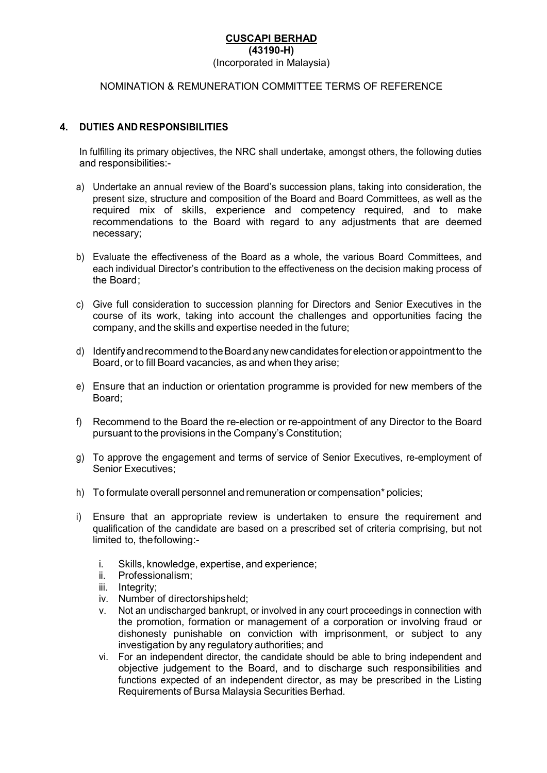#### CUSCAPI BERHAD (43190-H) (Incorporated in Malaysia)

# NOMINATION & REMUNERATION COMMITTEE TERMS OF REFERENCE

## 4. DUTIES AND RESPONSIBILITIES

In fulfilling its primary objectives, the NRC shall undertake, amongst others, the following duties and responsibilities:-

- a) Undertake an annual review of the Board's succession plans, taking into consideration, the present size, structure and composition of the Board and Board Committees, as well as the required mix of skills, experience and competency required, and to make recommendations to the Board with regard to any adjustments that are deemed necessary;
- b) Evaluate the effectiveness of the Board as a whole, the various Board Committees, and each individual Director's contribution to the effectiveness on the decision making process of the Board:
- c) Give full consideration to succession planning for Directors and Senior Executives in the course of its work, taking into account the challenges and opportunities facing the company, and the skills and expertise needed in the future;
- d) Identify and recommend to the Board any new candidates for election or appointment to the Board, or to fill Board vacancies, as and when they arise;
- e) Ensure that an induction or orientation programme is provided for new members of the Board;
- f) Recommend to the Board the re-election or re-appointment of any Director to the Board pursuant to the provisions in the Company's Constitution;
- g) To approve the engagement and terms of service of Senior Executives, re-employment of Senior Executives;
- h) To formulate overall personnel and remuneration or compensation\* policies;
- i) Ensure that an appropriate review is undertaken to ensure the requirement and qualification of the candidate are based on a prescribed set of criteria comprising, but not limited to, the following:
	- i. Skills, knowledge, expertise, and experience;
	- ii. Professionalism;
	- iii. Integrity;
	- iv. Number of directorships held;
	- v. Not an undischarged bankrupt, or involved in any court proceedings in connection with the promotion, formation or management of a corporation or involving fraud or dishonesty punishable on conviction with imprisonment, or subject to any investigation by any regulatory authorities; and
	- vi. For an independent director, the candidate should be able to bring independent and objective judgement to the Board, and to discharge such responsibilities and functions expected of an independent director, as may be prescribed in the Listing Requirements of Bursa Malaysia Securities Berhad.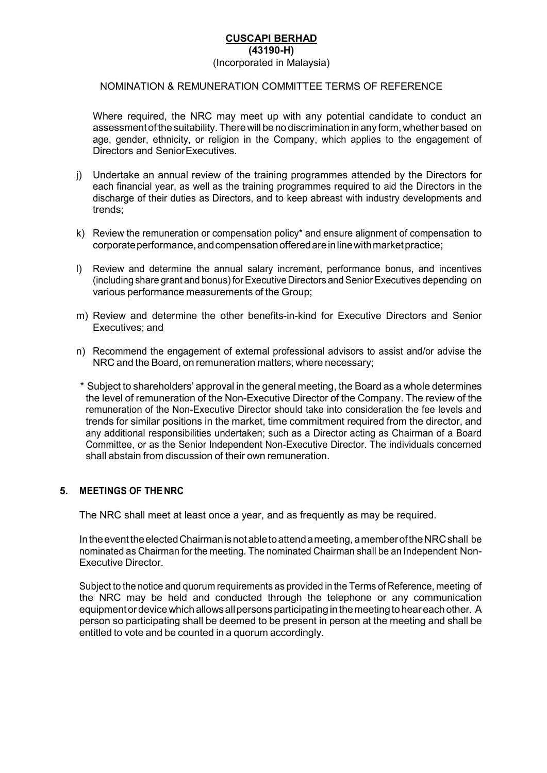# CUSCAPI BERHAD (43190-H)

#### (Incorporated in Malaysia)

# NOMINATION & REMUNERATION COMMITTEE TERMS OF REFERENCE

Where required, the NRC may meet up with any potential candidate to conduct an assessment of the suitability. There will be no discrimination in any form, whether based on age, gender, ethnicity, or religion in the Company, which applies to the engagement of Directors and Senior Executives.

- j) Undertake an annual review of the training programmes attended by the Directors for each financial year, as well as the training programmes required to aid the Directors in the discharge of their duties as Directors, and to keep abreast with industry developments and trends;
- k) Review the remuneration or compensation policy\* and ensure alignment of compensation to corporate performance, and compensation offered are in line with market practice;
- l) Review and determine the annual salary increment, performance bonus, and incentives (including share grant and bonus) for Executive Directors and Senior Executives depending on various performance measurements of the Group;
- m) Review and determine the other benefits-in-kind for Executive Directors and Senior Executives; and
- n) Recommend the engagement of external professional advisors to assist and/or advise the NRC and the Board, on remuneration matters, where necessary;
- \* Subject to shareholders' approval in the general meeting, the Board as a whole determines the level of remuneration of the Non-Executive Director of the Company. The review of the remuneration of the Non-Executive Director should take into consideration the fee levels and trends for similar positions in the market, time commitment required from the director, and any additional responsibilities undertaken; such as a Director acting as Chairman of a Board Committee, or as the Senior Independent Non-Executive Director. The individuals concerned shall abstain from discussion of their own remuneration.

# 5. MEETINGS OF THE NRC

The NRC shall meet at least once a year, and as frequently as may be required.

In the event the elected Chairman is not able to attend a meeting, a member of the NRC shall be nominated as Chairman for the meeting. The nominated Chairman shall be an Independent Non-Executive Director.

Subject to the notice and quorum requirements as provided in the Terms of Reference, meeting of the NRC may be held and conducted through the telephone or any communication equipment or device which allows all persons participating in the meeting to hear each other. A person so participating shall be deemed to be present in person at the meeting and shall be entitled to vote and be counted in a quorum accordingly.